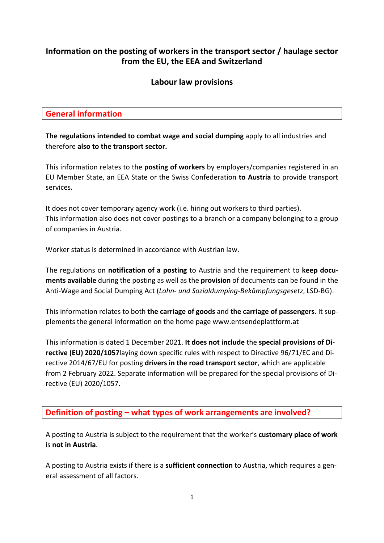# **Information on the posting of workers in the transport sector / haulage sector from the EU, the EEA and Switzerland**

### **Labour law provisions**

### **General information**

**The regulations intended to combat wage and social dumping** apply to all industries and therefore **also to the transport sector.**

This information relates to the **posting of workers** by employers/companies registered in an EU Member State, an EEA State or the Swiss Confederation **to Austria** to provide transport services.

It does not cover temporary agency work (i.e. hiring out workers to third parties). This information also does not cover postings to a branch or a company belonging to a group of companies in Austria.

Worker status is determined in accordance with Austrian law.

The regulations on **notification of a posting** to Austria and the requirement to **keep documents available** during the posting as well as the **provision** of documents can be found in the Anti-Wage and Social Dumping Act (*Lohn- und Sozialdumping-Bekämpfungsgesetz*, LSD-BG).

This information relates to both **the carriage of goods** and **the carriage of passengers**. It supplements the general information on the home page www.entsendeplattform.at

This information is dated 1 December 2021. **It does not include** the **special provisions of Directive (EU) 2020/1057**laying down specific rules with respect to Directive 96/71/EC and Directive 2014/67/EU for posting **drivers in the road transport sector**, which are applicable from 2 February 2022. Separate information will be prepared for the special provisions of Directive (EU) 2020/1057.

# **Definition of posting – what types of work arrangements are involved?**

A posting to Austria is subject to the requirement that the worker's **customary place of work** is **not in Austria**.

A posting to Austria exists if there is a **sufficient connection** to Austria, which requires a general assessment of all factors.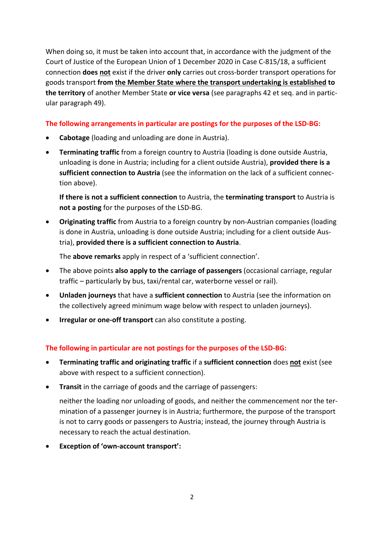When doing so, it must be taken into account that, in accordance with the judgment of the Court of Justice of the European Union of 1 December 2020 in Case C-815/18, a sufficient connection **does not** exist if the driver **only** carries out cross-border transport operations for goods transport **from the Member State where the transport undertaking is established to the territory** of another Member State **or vice versa** (see paragraphs 42 et seq. and in particular paragraph 49).

#### **The following arrangements in particular are postings for the purposes of the LSD-BG:**

- **Cabotage** (loading and unloading are done in Austria).
- **Terminating traffic** from a foreign country to Austria (loading is done outside Austria, unloading is done in Austria; including for a client outside Austria), **provided there is a sufficient connection to Austria** (see the information on the lack of a sufficient connection above).

**If there is not a sufficient connection** to Austria, the **terminating transport** to Austria is **not a posting** for the purposes of the LSD-BG.

• **Originating traffic** from Austria to a foreign country by non-Austrian companies (loading is done in Austria, unloading is done outside Austria; including for a client outside Austria), **provided there is a sufficient connection to Austria**.

The **above remarks** apply in respect of a 'sufficient connection'.

- The above points **also apply to the carriage of passengers** (occasional carriage, regular traffic – particularly by bus, taxi/rental car, waterborne vessel or rail).
- **Unladen journeys** that have a **sufficient connection** to Austria (see the information on the collectively agreed minimum wage below with respect to unladen journeys).
- **Irregular or one-off transport** can also constitute a posting.

#### **The following in particular are not postings for the purposes of the LSD-BG:**

- **Terminating traffic and originating traffic** if a **sufficient connection** does **not** exist (see above with respect to a sufficient connection).
- **Transit** in the carriage of goods and the carriage of passengers:

neither the loading nor unloading of goods, and neither the commencement nor the termination of a passenger journey is in Austria; furthermore, the purpose of the transport is not to carry goods or passengers to Austria; instead, the journey through Austria is necessary to reach the actual destination.

• **Exception of 'own-account transport':**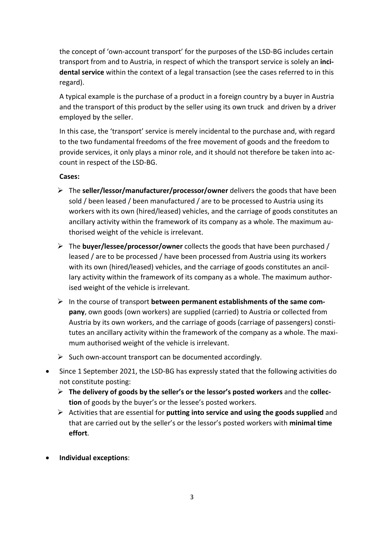the concept of 'own-account transport' for the purposes of the LSD-BG includes certain transport from and to Austria, in respect of which the transport service is solely an **incidental service** within the context of a legal transaction (see the cases referred to in this regard).

A typical example is the purchase of a product in a foreign country by a buyer in Austria and the transport of this product by the seller using its own truck and driven by a driver employed by the seller.

In this case, the 'transport' service is merely incidental to the purchase and, with regard to the two fundamental freedoms of the free movement of goods and the freedom to provide services, it only plays a minor role, and it should not therefore be taken into account in respect of the LSD-BG.

#### **Cases:**

- The **seller/lessor/manufacturer/processor/owner** delivers the goods that have been sold / been leased / been manufactured / are to be processed to Austria using its workers with its own (hired/leased) vehicles, and the carriage of goods constitutes an ancillary activity within the framework of its company as a whole. The maximum authorised weight of the vehicle is irrelevant.
- The **buyer/lessee/processor/owner** collects the goods that have been purchased / leased / are to be processed / have been processed from Austria using its workers with its own (hired/leased) vehicles, and the carriage of goods constitutes an ancillary activity within the framework of its company as a whole. The maximum authorised weight of the vehicle is irrelevant.
- In the course of transport **between permanent establishments of the same company**, own goods (own workers) are supplied (carried) to Austria or collected from Austria by its own workers, and the carriage of goods (carriage of passengers) constitutes an ancillary activity within the framework of the company as a whole. The maximum authorised weight of the vehicle is irrelevant.
- $\triangleright$  Such own-account transport can be documented accordingly.
- Since 1 September 2021, the LSD-BG has expressly stated that the following activities do not constitute posting:
	- **The delivery of goods by the seller's or the lessor's posted workers** and the **collection** of goods by the buyer's or the lessee's posted workers.
	- Activities that are essential for **putting into service and using the goods supplied** and that are carried out by the seller's or the lessor's posted workers with **minimal time effort**.
- **Individual exceptions**: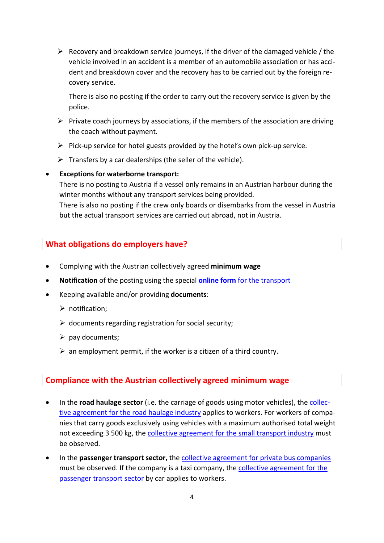$\triangleright$  Recovery and breakdown service journeys, if the driver of the damaged vehicle / the vehicle involved in an accident is a member of an automobile association or has accident and breakdown cover and the recovery has to be carried out by the foreign recovery service.

There is also no posting if the order to carry out the recovery service is given by the police.

- $\triangleright$  Private coach journeys by associations, if the members of the association are driving the coach without payment.
- $\triangleright$  Pick-up service for hotel guests provided by the hotel's own pick-up service.
- $\triangleright$  Transfers by a car dealerships (the seller of the vehicle).

### • **Exceptions for waterborne transport:**

There is no posting to Austria if a vessel only remains in an Austrian harbour during the winter months without any transport services being provided.

There is also no posting if the crew only boards or disembarks from the vessel in Austria but the actual transport services are carried out abroad, not in Austria.

# **What obligations do employers have?**

- Complying with the Austrian collectively agreed **minimum wage**
- **Notification** of the posting using the special **online form** [for the transport](https://www4.formularservice.gv.at/formularserver/user/formular.aspx?pid=fe66cedb506e495c94b3e826701443e5&pn=B0d66e914664149109b455bce26ceca4a&lang=en)
- Keeping available and/or providing **documents**:
	- $\triangleright$  notification:
	- $\triangleright$  documents regarding registration for social security;
	- $\triangleright$  pay documents;
	- $\triangleright$  an employment permit, if the worker is a citizen of a third country.

# **Compliance with the Austrian collectively agreed minimum wage**

- In the **road haulage sector** (i.e. the carriage of goods using motor vehicles), the [collec](https://www.kollektivvertrag.at/kv/gueterbefoerderungsgewerbe-arb/gueterbefoerderungsgewerbe-rahmen/441384?term=gueterbefoerderungsgewerbe)[tive agreement for the road haulage industry](https://www.kollektivvertrag.at/kv/gueterbefoerderungsgewerbe-arb/gueterbefoerderungsgewerbe-rahmen/441384?term=gueterbefoerderungsgewerbe) applies to workers. For workers of companies that carry goods exclusively using vehicles with a maximum authorised total weight not exceeding 3 500 kg, the [collective agreement for the small transport industry](http://www.kollektivvertrag.at/kv/kleintransportgewerbe-arb/kleintransportgewerbe-rahmen/4206722?term=kleintransportgewerbe) must be observed.
- In the **passenger transport sector,** the [collective agreement for private bus companies](http://www.kollektivvertrag.at/kv/private-autobusbetriebe-arb-ang/private-autobusbetriebe-rahmen/4230185?term=autobusbetriebe) must be observed. If the company is a taxi company, the [collective agreement for the](http://www.kollektivvertrag.at/kv/personenbefoerderungsgewerbe-mit-pkw-taxi-wien-arb/personenbefoerderungsgewerbe-mit-pkw-taxi-rahmen/4022846?language=de&term=taxi)  [passenger transport sector](http://www.kollektivvertrag.at/kv/personenbefoerderungsgewerbe-mit-pkw-taxi-wien-arb/personenbefoerderungsgewerbe-mit-pkw-taxi-rahmen/4022846?language=de&term=taxi) by car applies to workers.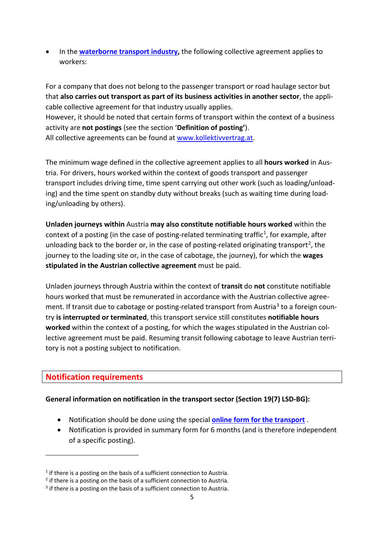• In the **[waterborne transport industry,](https://www.kollektivvertrag.at/kv/oesterreichische-schifffahrtsunternehmungen-arb-ang)** the following collective agreement applies to workers:

For a company that does not belong to the passenger transport or road haulage sector but that **also carries out transport as part of its business activities in another sector**, the applicable collective agreement for that industry usually applies. However, it should be noted that certain forms of transport within the context of a business activity are **not postings** (see the section '**Definition of posting'**). All collective agreements can be found at [www.kollektivvertrag.at.](http://www.kollektivvertrag.at/)

The minimum wage defined in the collective agreement applies to all **hours worked** in Austria. For drivers, hours worked within the context of goods transport and passenger transport includes driving time, time spent carrying out other work (such as loading/unloading) and the time spent on standby duty without breaks (such as waiting time during loading/unloading by others).

**Unladen journeys within** Austria **may also constitute notifiable hours worked** within the context of a posting (in the case of posting-related terminating traffic<sup>1</sup>, for example, after unloading back to the border or, in the case of posting-related originating transport<sup>[2](#page-4-1)</sup>, the journey to the loading site or, in the case of cabotage, the journey), for which the **wages stipulated in the Austrian collective agreement** must be paid.

Unladen journeys through Austria within the context of **transit** do **not** constitute notifiable hours worked that must be remunerated in accordance with the Austrian collective agree-ment. If transit due to cabotage or posting-related transport from Austria<sup>[3](#page-4-2)</sup> to a foreign country **is interrupted or terminated**, this transport service still constitutes **notifiable hours worked** within the context of a posting, for which the wages stipulated in the Austrian collective agreement must be paid. Resuming transit following cabotage to leave Austrian territory is not a posting subject to notification.

#### **Notification requirements**

#### **General information on notification in the transport sector (Section 19(7) LSD-BG):**

- Notification should be done using the special **[online form for the transport](https://www4.formularservice.gv.at/formularserver/user/formular.aspx?pid=fe66cedb506e495c94b3e826701443e5&pn=B0d66e914664149109b455bce26ceca4a&lang=en)** .
- Notification is provided in summary form for 6 months (and is therefore independent of a specific posting).

<span id="page-4-0"></span> $1$  if there is a posting on the basis of a sufficient connection to Austria.

<span id="page-4-1"></span><sup>&</sup>lt;sup>2</sup> if there is a posting on the basis of a sufficient connection to Austria.

<span id="page-4-2"></span><sup>&</sup>lt;sup>3</sup> if there is a posting on the basis of a sufficient connection to Austria.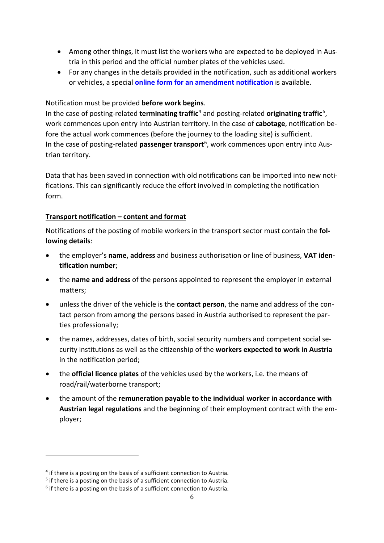- Among other things, it must list the workers who are expected to be deployed in Austria in this period and the official number plates of the vehicles used.
- For any changes in the details provided in the notification, such as additional workers or vehicles, a special **[online form for an amendment notification](https://www3.formularservice.gv.at/formularserver/user/formular.aspx?pid=cc0245e96e3145f28adeacc34a476f8d&pn=B049a9a1f7cde40ffb5ad44630685efb5&lang=en)** is available.

#### Notification must be provided **before work begins**.

In the case of posting-related **terminating traffic**[4](#page-5-0) and posting-related **originating traffic**[5](#page-5-1) , work commences upon entry into Austrian territory. In the case of **cabotage**, notification before the actual work commences (before the journey to the loading site) is sufficient. In the case of posting-related **passenger transport**<sup>[6](#page-5-2)</sup>, work commences upon entry into Austrian territory.

Data that has been saved in connection with old notifications can be imported into new notifications. This can significantly reduce the effort involved in completing the notification form.

#### **Transport notification – content and format**

Notifications of the posting of mobile workers in the transport sector must contain the **following details**:

- the employer's **name, address** and business authorisation or line of business, **VAT identification number**;
- the **name and address** of the persons appointed to represent the employer in external matters;
- unless the driver of the vehicle is the **contact person**, the name and address of the contact person from among the persons based in Austria authorised to represent the parties professionally;
- the names, addresses, dates of birth, social security numbers and competent social security institutions as well as the citizenship of the **workers expected to work in Austria** in the notification period;
- the **official licence plates** of the vehicles used by the workers, i.e. the means of road/rail/waterborne transport;
- the amount of the **remuneration payable to the individual worker in accordance with Austrian legal regulations** and the beginning of their employment contract with the employer;

<span id="page-5-0"></span><sup>&</sup>lt;sup>4</sup> if there is a posting on the basis of a sufficient connection to Austria.

<span id="page-5-1"></span><sup>&</sup>lt;sup>5</sup> if there is a posting on the basis of a sufficient connection to Austria.

<span id="page-5-2"></span> $6$  if there is a posting on the basis of a sufficient connection to Austria.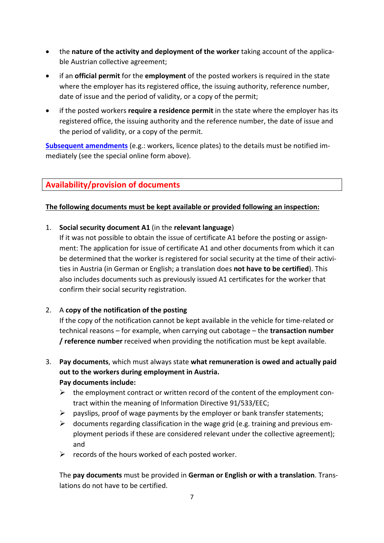- the **nature of the activity and deployment of the worker** taking account of the applicable Austrian collective agreement;
- if an **official permit** for the **employment** of the posted workers is required in the state where the employer has its registered office, the issuing authority, reference number, date of issue and the period of validity, or a copy of the permit;
- if the posted workers **require a residence permit** in the state where the employer has its registered office, the issuing authority and the reference number, the date of issue and the period of validity, or a copy of the permit.

**[Subsequent amendments](https://www3.formularservice.gv.at/formularserver/user/formular.aspx?pid=cc0245e96e3145f28adeacc34a476f8d&pn=B049a9a1f7cde40ffb5ad44630685efb5)** (e.g.: workers, licence plates) to the details must be notified immediately (see the special online form above).

# **Availability/provision of documents**

### **The following documents must be kept available or provided following an inspection:**

### 1. **Social security document A1** (in the **relevant language**)

If it was not possible to obtain the issue of certificate A1 before the posting or assignment: The application for issue of certificate A1 and other documents from which it can be determined that the worker is registered for social security at the time of their activities in Austria (in German or English; a translation does **not have to be certified**). This also includes documents such as previously issued A1 certificates for the worker that confirm their social security registration.

# 2. A **copy of the notification of the posting**

If the copy of the notification cannot be kept available in the vehicle for time-related or technical reasons – for example, when carrying out cabotage – the **transaction number / reference number** received when providing the notification must be kept available.

- 3. **Pay documents**, which must always state **what remuneration is owed and actually paid out to the workers during employment in Austria. Pay documents include:**
	- $\triangleright$  the employment contract or written record of the content of the employment contract within the meaning of Information Directive 91/533/EEC;
	- $\triangleright$  payslips, proof of wage payments by the employer or bank transfer statements;
	- $\triangleright$  documents regarding classification in the wage grid (e.g. training and previous employment periods if these are considered relevant under the collective agreement); and
	- $\triangleright$  records of the hours worked of each posted worker.

The **pay documents** must be provided in **German or English or with a translation**. Translations do not have to be certified.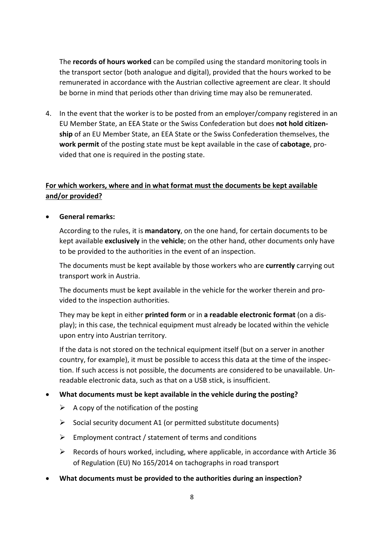The **records of hours worked** can be compiled using the standard monitoring tools in the transport sector (both analogue and digital), provided that the hours worked to be remunerated in accordance with the Austrian collective agreement are clear. It should be borne in mind that periods other than driving time may also be remunerated.

4. In the event that the worker is to be posted from an employer/company registered in an EU Member State, an EEA State or the Swiss Confederation but does **not hold citizenship** of an EU Member State, an EEA State or the Swiss Confederation themselves, the **work permit** of the posting state must be kept available in the case of **cabotage**, provided that one is required in the posting state.

# **For which workers, where and in what format must the documents be kept available and/or provided?**

• **General remarks:**

According to the rules, it is **mandatory**, on the one hand, for certain documents to be kept available **exclusively** in the **vehicle**; on the other hand, other documents only have to be provided to the authorities in the event of an inspection.

The documents must be kept available by those workers who are **currently** carrying out transport work in Austria.

The documents must be kept available in the vehicle for the worker therein and provided to the inspection authorities.

They may be kept in either **printed form** or in **a readable electronic format** (on a display); in this case, the technical equipment must already be located within the vehicle upon entry into Austrian territory.

If the data is not stored on the technical equipment itself (but on a server in another country, for example), it must be possible to access this data at the time of the inspection. If such access is not possible, the documents are considered to be unavailable. Unreadable electronic data, such as that on a USB stick, is insufficient.

#### • **What documents must be kept available in the vehicle during the posting?**

- $\triangleright$  A copy of the notification of the posting
- $\triangleright$  Social security document A1 (or permitted substitute documents)
- $\triangleright$  Employment contract / statement of terms and conditions
- $\triangleright$  Records of hours worked, including, where applicable, in accordance with Article 36 of Regulation (EU) No 165/2014 on tachographs in road transport
- **What documents must be provided to the authorities during an inspection?**